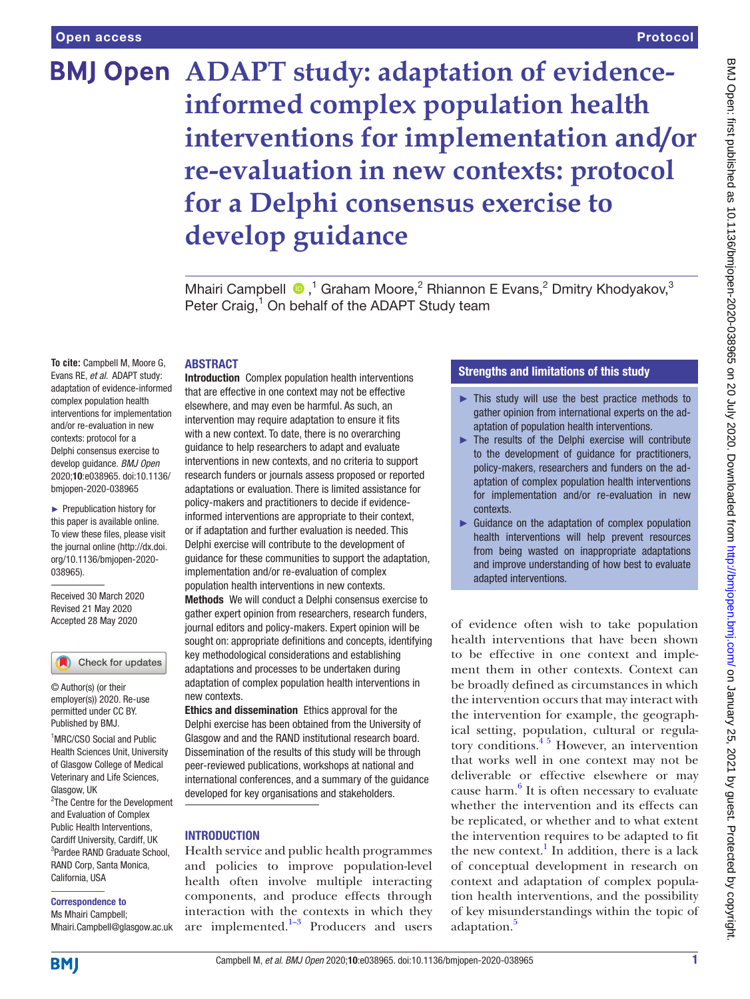# Protocol

# **BMJ Open ADAPT study: adaptation of evidenceinformed complex population health interventions for implementation and/or re-evaluation in new contexts: protocol for a Delphi consensus exercise to develop guidance**

MhairiCampbell <sup>®</sup>,<sup>1</sup> Graham Moore,<sup>2</sup> Rhiannon E Evans,<sup>2</sup> Dmitry Khodyakov,<sup>3</sup> Peter Craig,<sup>1</sup> On behalf of the ADAPT Study team

## ABSTRACT

**To cite:** Campbell M, Moore G, Evans RE, *et al*. ADAPT study: adaptation of evidence-informed complex population health interventions for implementation and/or re-evaluation in new contexts: protocol for a Delphi consensus exercise to develop guidance. *BMJ Open* 2020;10:e038965. doi:10.1136/ bmjopen-2020-038965

► Prepublication history for this paper is available online. To view these files, please visit the journal online (http://dx.doi. org/10.1136/bmjopen-2020- 038965).

Received 30 March 2020 Revised 21 May 2020 Accepted 28 May 2020

Check for updates

© Author(s) (or their employer(s)) 2020. Re-use permitted under CC BY. Published by BMJ.

1 MRC/CSO Social and Public Health Sciences Unit, University of Glasgow College of Medical Veterinary and Life Sciences, Glasgow, UK

<sup>2</sup>The Centre for the Development and Evaluation of Complex Public Health Interventions, Cardiff University, Cardiff, UK 3 Pardee RAND Graduate School, RAND Corp, Santa Monica, California, USA

#### Correspondence to

Ms Mhairi Campbell; Mhairi.Campbell@glasgow.ac.uk Introduction Complex population health interventions that are effective in one context may not be effective elsewhere, and may even be harmful. As such, an intervention may require adaptation to ensure it fits with a new context. To date, there is no overarching guidance to help researchers to adapt and evaluate interventions in new contexts, and no criteria to support research funders or journals assess proposed or reported adaptations or evaluation. There is limited assistance for policy-makers and practitioners to decide if evidenceinformed interventions are appropriate to their context, or if adaptation and further evaluation is needed. This Delphi exercise will contribute to the development of guidance for these communities to support the adaptation, implementation and/or re-evaluation of complex population health interventions in new contexts.

Methods We will conduct a Delphi consensus exercise to gather expert opinion from researchers, research funders, journal editors and policy-makers. Expert opinion will be sought on: appropriate definitions and concepts, identifying key methodological considerations and establishing adaptations and processes to be undertaken during adaptation of complex population health interventions in new contexts.

Ethics and dissemination Ethics approval for the Delphi exercise has been obtained from the University of Glasgow and and the RAND institutional research board. Dissemination of the results of this study will be through peer-reviewed publications, workshops at national and international conferences, and a summary of the guidance developed for key organisations and stakeholders.

## INTRODUCTION

Health service and public health programmes and policies to improve population-level health often involve multiple interacting components, and produce effects through interaction with the contexts in which they are implemented. $1-3$  Producers and users

## Strengths and limitations of this study

- ► This study will use the best practice methods to gather opinion from international experts on the adaptation of population health interventions.
- ► The results of the Delphi exercise will contribute to the development of guidance for practitioners, policy-makers, researchers and funders on the adaptation of complex population health interventions for implementation and/or re-evaluation in new contexts.
- ► Guidance on the adaptation of complex population health interventions will help prevent resources from being wasted on inappropriate adaptations and improve understanding of how best to evaluate adapted interventions.

of evidence often wish to take population health interventions that have been shown to be effective in one context and implement them in other contexts. Context can be broadly defined as circumstances in which the intervention occurs that may interact with the intervention for example, the geographical setting, population, cultural or regulatory conditions.<sup>45</sup> However, an intervention that works well in one context may not be deliverable or effective elsewhere or may cause harm.<sup>[6](#page-4-2)</sup> It is often necessary to evaluate whether the intervention and its effects can be replicated, or whether and to what extent the intervention requires to be adapted to fit the new context.<sup>[1](#page-4-0)</sup> In addition, there is a lack of conceptual development in research on context and adaptation of complex population health interventions, and the possibility of key misunderstandings within the topic of adaptation.<sup>[5](#page-4-3)</sup>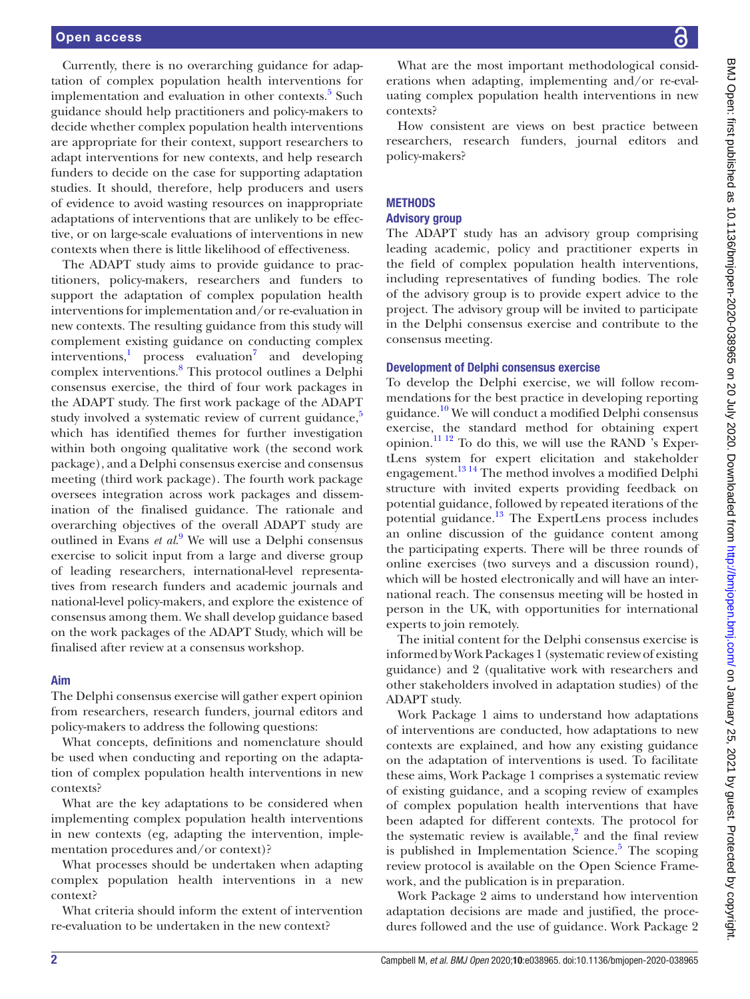Currently, there is no overarching guidance for adaptation of complex population health interventions for implementation and evaluation in other contexts.<sup>[5](#page-4-3)</sup> Such guidance should help practitioners and policy-makers to decide whether complex population health interventions are appropriate for their context, support researchers to adapt interventions for new contexts, and help research funders to decide on the case for supporting adaptation studies. It should, therefore, help producers and users of evidence to avoid wasting resources on inappropriate adaptations of interventions that are unlikely to be effective, or on large-scale evaluations of interventions in new contexts when there is little likelihood of effectiveness.

The ADAPT study aims to provide guidance to practitioners, policy-makers, researchers and funders to support the adaptation of complex population health interventions for implementation and/or re-evaluation in new contexts. The resulting guidance from this study will complement existing guidance on conducting complex interventions,<sup>[1](#page-4-0)</sup> process evaluation<sup>[7](#page-4-4)</sup> and developing complex interventions.<sup>[8](#page-4-5)</sup> This protocol outlines a Delphi consensus exercise, the third of four work packages in the ADAPT study. The first work package of the ADAPT study involved a systematic review of current guidance, $5$ which has identified themes for further investigation within both ongoing qualitative work (the second work package), and a Delphi consensus exercise and consensus meeting (third work package). The fourth work package oversees integration across work packages and dissemination of the finalised guidance. The rationale and overarching objectives of the overall ADAPT study are outlined in Evans *et al*. [9](#page-4-6) We will use a Delphi consensus exercise to solicit input from a large and diverse group of leading researchers, international-level representatives from research funders and academic journals and national-level policy-makers, and explore the existence of consensus among them. We shall develop guidance based on the work packages of the ADAPT Study, which will be finalised after review at a consensus workshop.

## Aim

The Delphi consensus exercise will gather expert opinion from researchers, research funders, journal editors and policy-makers to address the following questions:

What concepts, definitions and nomenclature should be used when conducting and reporting on the adaptation of complex population health interventions in new contexts?

What are the key adaptations to be considered when implementing complex population health interventions in new contexts (eg, adapting the intervention, implementation procedures and/or context)?

What processes should be undertaken when adapting complex population health interventions in a new context?

What criteria should inform the extent of intervention re-evaluation to be undertaken in the new context?

BMJ Open: first published as 10.1136/bmjopen-2020-038965 on 20 July 2020. Downloaded from http://bmjopen.bmj.com/ on January 25, 2021 by guest. Protected by copyright BMJ Open: first published as 10.1136/bmjopen-2020-038965 on 20 July 2020. Downloaded from <http://bmjopen.bmj.com/> on January 25, 2021 by guest. Protected by copyright.

What are the most important methodological considerations when adapting, implementing and/or re-evaluating complex population health interventions in new contexts?

How consistent are views on best practice between researchers, research funders, journal editors and policy-makers?

## **METHODS**

### Advisory group

The ADAPT study has an advisory group comprising leading academic, policy and practitioner experts in the field of complex population health interventions, including representatives of funding bodies. The role of the advisory group is to provide expert advice to the project. The advisory group will be invited to participate in the Delphi consensus exercise and contribute to the consensus meeting.

## Development of Delphi consensus exercise

To develop the Delphi exercise, we will follow recommendations for the best practice in developing reporting guidance.<sup>10</sup> We will conduct a modified Delphi consensus exercise, the standard method for obtaining expert opinion[.11 12](#page-4-8) To do this, we will use the RAND 's ExpertLens system for expert elicitation and stakeholder engagement.[13 14](#page-4-9) The method involves a modified Delphi structure with invited experts providing feedback on potential guidance, followed by repeated iterations of the potential guidance[.13](#page-4-9) The ExpertLens process includes an online discussion of the guidance content among the participating experts. There will be three rounds of online exercises (two surveys and a discussion round), which will be hosted electronically and will have an international reach. The consensus meeting will be hosted in person in the UK, with opportunities for international experts to join remotely.

The initial content for the Delphi consensus exercise is informed by Work Packages 1 (systematic review of existing guidance) and 2 (qualitative work with researchers and other stakeholders involved in adaptation studies) of the ADAPT study.

Work Package 1 aims to understand how adaptations of interventions are conducted, how adaptations to new contexts are explained, and how any existing guidance on the adaptation of interventions is used. To facilitate these aims, Work Package 1 comprises a systematic review of existing guidance, and a scoping review of examples of complex population health interventions that have been adapted for different contexts. The protocol for the systematic review is available, $^{2}$  and the final review is published in Implementation Science.<sup>[5](#page-4-3)</sup> The scoping review protocol is available on the Open Science Framework, and the publication is in preparation.

Work Package 2 aims to understand how intervention adaptation decisions are made and justified, the procedures followed and the use of guidance. Work Package 2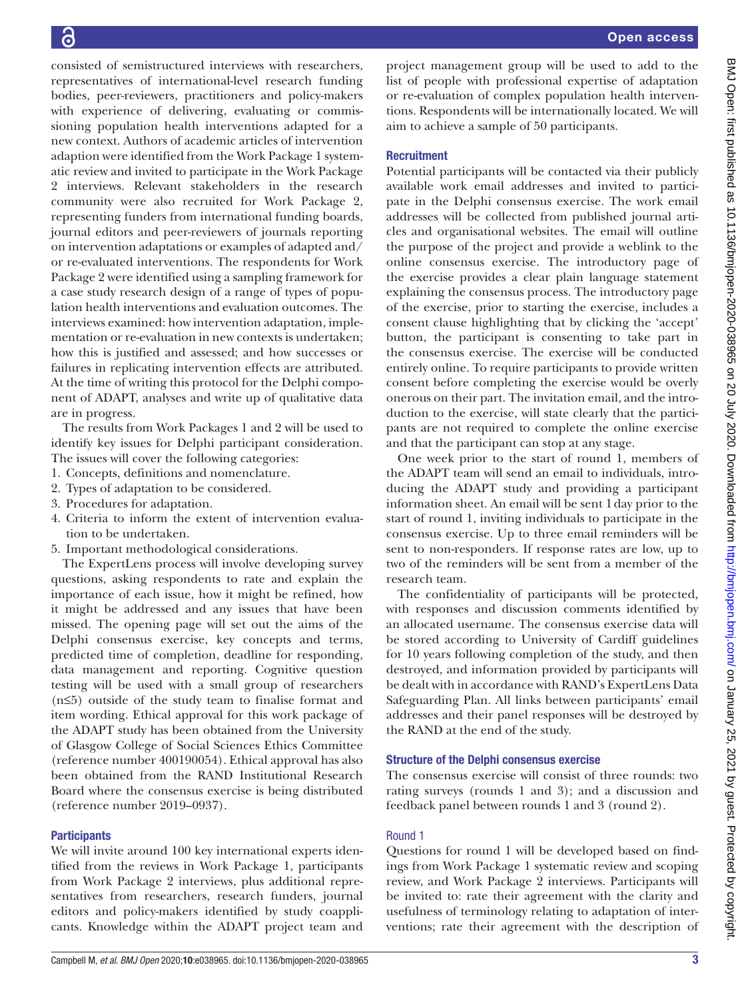consisted of semistructured interviews with researchers, representatives of international-level research funding bodies, peer-reviewers, practitioners and policy-makers with experience of delivering, evaluating or commissioning population health interventions adapted for a new context. Authors of academic articles of intervention adaption were identified from the Work Package 1 systematic review and invited to participate in the Work Package 2 interviews. Relevant stakeholders in the research community were also recruited for Work Package 2, representing funders from international funding boards, journal editors and peer-reviewers of journals reporting on intervention adaptations or examples of adapted and/ or re-evaluated interventions. The respondents for Work Package 2 were identified using a sampling framework for a case study research design of a range of types of population health interventions and evaluation outcomes. The interviews examined: how intervention adaptation, implementation or re-evaluation in new contexts is undertaken; how this is justified and assessed; and how successes or failures in replicating intervention effects are attributed. At the time of writing this protocol for the Delphi component of ADAPT, analyses and write up of qualitative data are in progress.

The results from Work Packages 1 and 2 will be used to identify key issues for Delphi participant consideration. The issues will cover the following categories:

- 1. Concepts, definitions and nomenclature.
- 2. Types of adaptation to be considered.
- 3. Procedures for adaptation.
- 4. Criteria to inform the extent of intervention evaluation to be undertaken.
- 5. Important methodological considerations.

The ExpertLens process will involve developing survey questions, asking respondents to rate and explain the importance of each issue, how it might be refined, how it might be addressed and any issues that have been missed. The opening page will set out the aims of the Delphi consensus exercise, key concepts and terms, predicted time of completion, deadline for responding, data management and reporting. Cognitive question testing will be used with a small group of researchers (n≤5) outside of the study team to finalise format and item wording. Ethical approval for this work package of the ADAPT study has been obtained from the University of Glasgow College of Social Sciences Ethics Committee (reference number 400190054). Ethical approval has also been obtained from the RAND Institutional Research Board where the consensus exercise is being distributed (reference number 2019–0937).

## **Participants**

We will invite around 100 key international experts identified from the reviews in Work Package 1, participants from Work Package 2 interviews, plus additional representatives from researchers, research funders, journal editors and policy-makers identified by study coapplicants. Knowledge within the ADAPT project team and project management group will be used to add to the list of people with professional expertise of adaptation or re-evaluation of complex population health interventions. Respondents will be internationally located. We will aim to achieve a sample of 50 participants.

## **Recruitment**

Potential participants will be contacted via their publicly available work email addresses and invited to participate in the Delphi consensus exercise. The work email addresses will be collected from published journal articles and organisational websites. The email will outline the purpose of the project and provide a weblink to the online consensus exercise. The introductory page of the exercise provides a clear plain language statement explaining the consensus process. The introductory page of the exercise, prior to starting the exercise, includes a consent clause highlighting that by clicking the 'accept' button, the participant is consenting to take part in the consensus exercise. The exercise will be conducted entirely online. To require participants to provide written consent before completing the exercise would be overly onerous on their part. The invitation email, and the introduction to the exercise, will state clearly that the participants are not required to complete the online exercise and that the participant can stop at any stage.

One week prior to the start of round 1, members of the ADAPT team will send an email to individuals, introducing the ADAPT study and providing a participant information sheet. An email will be sent 1day prior to the start of round 1, inviting individuals to participate in the consensus exercise. Up to three email reminders will be sent to non-responders. If response rates are low, up to two of the reminders will be sent from a member of the research team.

The confidentiality of participants will be protected, with responses and discussion comments identified by an allocated username. The consensus exercise data will be stored according to University of Cardiff guidelines for 10 years following completion of the study, and then destroyed, and information provided by participants will be dealt with in accordance with RAND's ExpertLens Data Safeguarding Plan. All links between participants' email addresses and their panel responses will be destroyed by the RAND at the end of the study.

## Structure of the Delphi consensus exercise

The consensus exercise will consist of three rounds: two rating surveys (rounds 1 and 3); and a discussion and feedback panel between rounds 1 and 3 (round 2).

## Round 1

Questions for round 1 will be developed based on findings from Work Package 1 systematic review and scoping review, and Work Package 2 interviews. Participants will be invited to: rate their agreement with the clarity and usefulness of terminology relating to adaptation of interventions; rate their agreement with the description of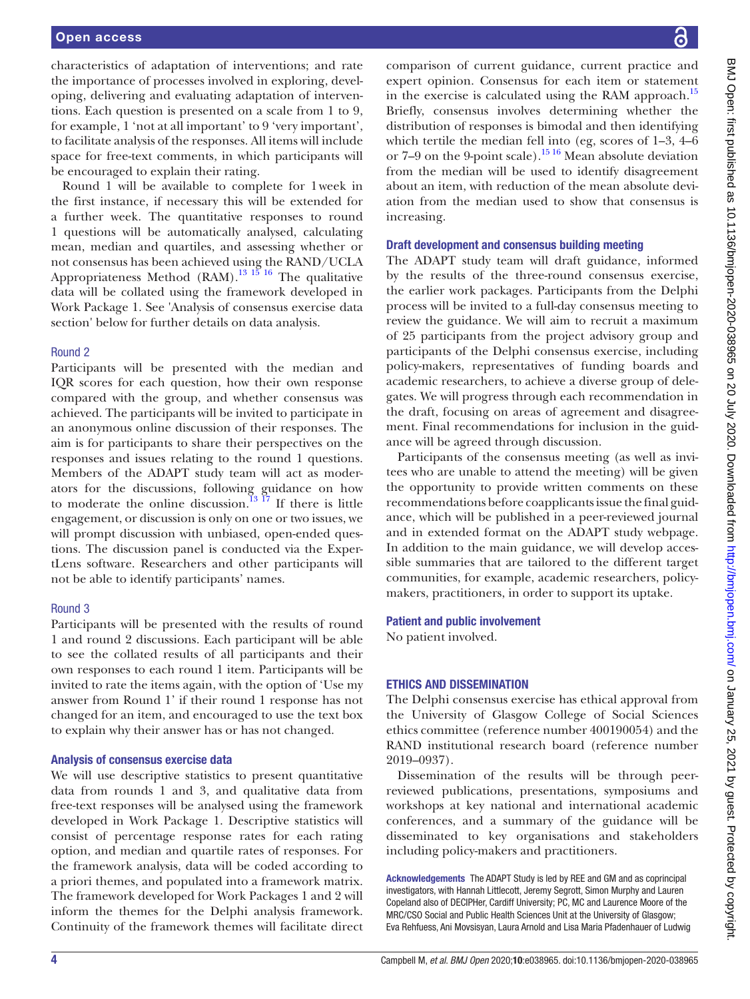characteristics of adaptation of interventions; and rate the importance of processes involved in exploring, developing, delivering and evaluating adaptation of interventions. Each question is presented on a scale from 1 to 9, for example, 1 'not at all important' to 9 'very important', to facilitate analysis of the responses. All items will include space for free-text comments, in which participants will be encouraged to explain their rating.

Round 1 will be available to complete for 1week in the first instance, if necessary this will be extended for a further week. The quantitative responses to round 1 questions will be automatically analysed, calculating mean, median and quartiles, and assessing whether or not consensus has been achieved using the RAND/UCLA Appropriateness Method (RAM).<sup>13 15</sup> 16 The qualitative data will be collated using the framework developed in Work Package 1. See 'Analysis of consensus exercise data section' below for further details on data analysis.

#### Round 2

Participants will be presented with the median and IQR scores for each question, how their own response compared with the group, and whether consensus was achieved. The participants will be invited to participate in an anonymous online discussion of their responses. The aim is for participants to share their perspectives on the responses and issues relating to the round 1 questions. Members of the ADAPT study team will act as moderators for the discussions, following guidance on how to moderate the online discussion.<sup>13 17</sup> If there is little engagement, or discussion is only on one or two issues, we will prompt discussion with unbiased, open-ended questions. The discussion panel is conducted via the ExpertLens software. Researchers and other participants will not be able to identify participants' names.

#### Round 3

Participants will be presented with the results of round 1 and round 2 discussions. Each participant will be able to see the collated results of all participants and their own responses to each round 1 item. Participants will be invited to rate the items again, with the option of 'Use my answer from Round 1' if their round 1 response has not changed for an item, and encouraged to use the text box to explain why their answer has or has not changed.

#### Analysis of consensus exercise data

We will use descriptive statistics to present quantitative data from rounds 1 and 3, and qualitative data from free-text responses will be analysed using the framework developed in Work Package 1. Descriptive statistics will consist of percentage response rates for each rating option, and median and quartile rates of responses. For the framework analysis, data will be coded according to a priori themes, and populated into a framework matrix. The framework developed for Work Packages 1 and 2 will inform the themes for the Delphi analysis framework. Continuity of the framework themes will facilitate direct

comparison of current guidance, current practice and expert opinion. Consensus for each item or statement in the exercise is calculated using the RAM approach.<sup>[15](#page-4-11)</sup> Briefly, consensus involves determining whether the distribution of responses is bimodal and then identifying which tertile the median fell into (eg, scores of 1–3, 4–6 or 7–9 on the 9-point scale).[15 16](#page-4-11) Mean absolute deviation from the median will be used to identify disagreement about an item, with reduction of the mean absolute deviation from the median used to show that consensus is increasing.

#### Draft development and consensus building meeting

The ADAPT study team will draft guidance, informed by the results of the three-round consensus exercise, the earlier work packages. Participants from the Delphi process will be invited to a full-day consensus meeting to review the guidance. We will aim to recruit a maximum of 25 participants from the project advisory group and participants of the Delphi consensus exercise, including policy-makers, representatives of funding boards and academic researchers, to achieve a diverse group of delegates. We will progress through each recommendation in the draft, focusing on areas of agreement and disagreement. Final recommendations for inclusion in the guidance will be agreed through discussion.

Participants of the consensus meeting (as well as invitees who are unable to attend the meeting) will be given the opportunity to provide written comments on these recommendations before coapplicants issue the final guidance, which will be published in a peer-reviewed journal and in extended format on the ADAPT study webpage. In addition to the main guidance, we will develop accessible summaries that are tailored to the different target communities, for example, academic researchers, policymakers, practitioners, in order to support its uptake.

#### Patient and public involvement

No patient involved.

#### ETHICS AND DISSEMINATION

The Delphi consensus exercise has ethical approval from the University of Glasgow College of Social Sciences ethics committee (reference number 400190054) and the RAND institutional research board (reference number 2019–0937).

Dissemination of the results will be through peerreviewed publications, presentations, symposiums and workshops at key national and international academic conferences, and a summary of the guidance will be disseminated to key organisations and stakeholders including policy-makers and practitioners.

Acknowledgements The ADAPT Study is led by REE and GM and as coprincipal investigators, with Hannah Littlecott, Jeremy Segrott, Simon Murphy and Lauren Copeland also of DECIPHer, Cardiff University; PC, MC and Laurence Moore of the MRC/CSO Social and Public Health Sciences Unit at the University of Glasgow; Eva Rehfuess, Ani Movsisyan, Laura Arnold and Lisa Maria Pfadenhauer of Ludwig